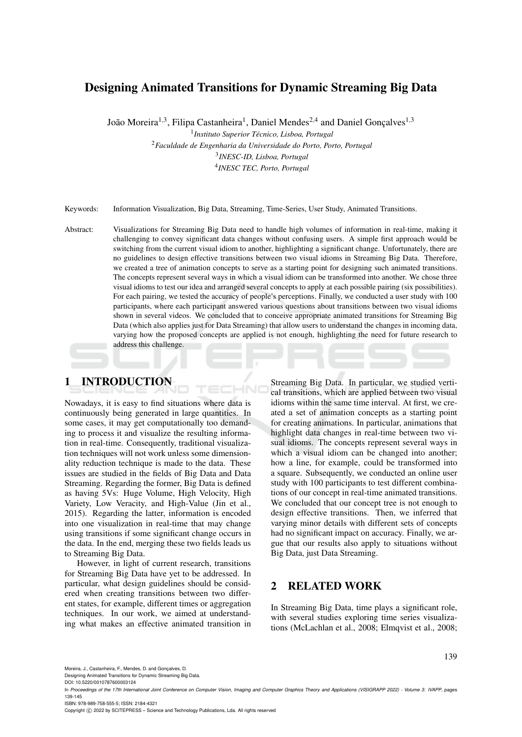# Designing Animated Transitions for Dynamic Streaming Big Data

João Moreira<sup>1,3</sup>, Filipa Castanheira<sup>1</sup>, Daniel Mendes<sup>2,4</sup> and Daniel Gonçalves<sup>1,3</sup>

1 *Instituto Superior Tecnico, Lisboa, Portugal ´*

<sup>2</sup>*Faculdade de Engenharia da Universidade do Porto, Porto, Portugal* 3 *INESC-ID, Lisboa, Portugal* 4 *INESC TEC, Porto, Portugal*

Keywords: Information Visualization, Big Data, Streaming, Time-Series, User Study, Animated Transitions.

Abstract: Visualizations for Streaming Big Data need to handle high volumes of information in real-time, making it challenging to convey significant data changes without confusing users. A simple first approach would be switching from the current visual idiom to another, highlighting a significant change. Unfortunately, there are no guidelines to design effective transitions between two visual idioms in Streaming Big Data. Therefore, we created a tree of animation concepts to serve as a starting point for designing such animated transitions. The concepts represent several ways in which a visual idiom can be transformed into another. We chose three visual idioms to test our idea and arranged several concepts to apply at each possible pairing (six possibilities). For each pairing, we tested the accuracy of people's perceptions. Finally, we conducted a user study with 100 participants, where each participant answered various questions about transitions between two visual idioms shown in several videos. We concluded that to conceive appropriate animated transitions for Streaming Big Data (which also applies just for Data Streaming) that allow users to understand the changes in incoming data, varying how the proposed concepts are applied is not enough, highlighting the need for future research to address this challenge.

 $\neg$ 

1 INTRODUCTION

Nowadays, it is easy to find situations where data is continuously being generated in large quantities. In some cases, it may get computationally too demanding to process it and visualize the resulting information in real-time. Consequently, traditional visualization techniques will not work unless some dimensionality reduction technique is made to the data. These issues are studied in the fields of Big Data and Data Streaming. Regarding the former, Big Data is defined as having 5Vs: Huge Volume, High Velocity, High Variety, Low Veracity, and High-Value (Jin et al., 2015). Regarding the latter, information is encoded into one visualization in real-time that may change using transitions if some significant change occurs in the data. In the end, merging these two fields leads us to Streaming Big Data.

However, in light of current research, transitions for Streaming Big Data have yet to be addressed. In particular, what design guidelines should be considered when creating transitions between two different states, for example, different times or aggregation techniques. In our work, we aimed at understanding what makes an effective animated transition in

Streaming Big Data. In particular, we studied vertical transitions, which are applied between two visual idioms within the same time interval. At first, we created a set of animation concepts as a starting point for creating animations. In particular, animations that highlight data changes in real-time between two visual idioms. The concepts represent several ways in which a visual idiom can be changed into another; how a line, for example, could be transformed into a square. Subsequently, we conducted an online user study with 100 participants to test different combinations of our concept in real-time animated transitions. We concluded that our concept tree is not enough to design effective transitions. Then, we inferred that varying minor details with different sets of concepts had no significant impact on accuracy. Finally, we argue that our results also apply to situations without Big Data, just Data Streaming.

## 2 RELATED WORK

In Streaming Big Data, time plays a significant role, with several studies exploring time series visualizations (McLachlan et al., 2008; Elmqvist et al., 2008;

Moreira, J., Castanheira, F., Mendes, D. and Gonçalves, D.

Designing Animated Transitions for Dynamic Streaming Big Data. DOI: 10.5220/0010787600003124

ISBN: 978-989-758-555-5; ISSN: 2184-4321

Copyright (C) 2022 by SCITEPRESS - Science and Technology Publications, Lda. All rights reserved

In *Proceedings of the 17th International Joint Conference on Computer Vision, Imaging and Computer Graphics Theory and Applications (VISIGRAPP 2022) - Volume 3: IVAPP*, pages 139-145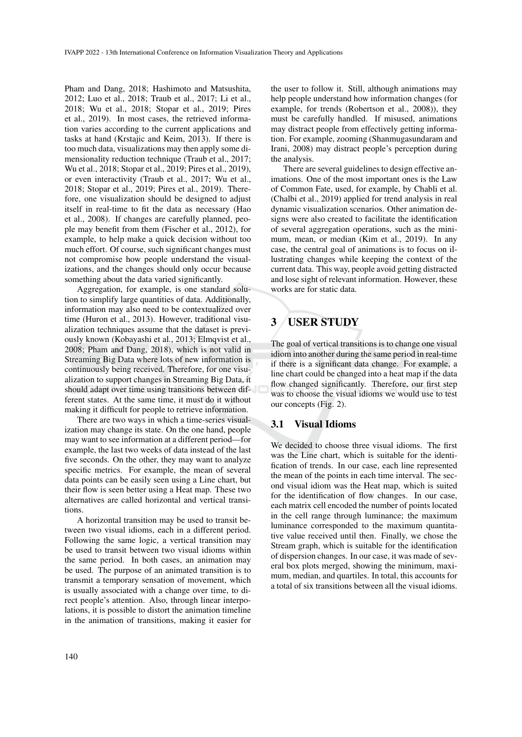Pham and Dang, 2018; Hashimoto and Matsushita, 2012; Luo et al., 2018; Traub et al., 2017; Li et al., 2018; Wu et al., 2018; Stopar et al., 2019; Pires et al., 2019). In most cases, the retrieved information varies according to the current applications and tasks at hand (Krstajic and Keim, 2013). If there is too much data, visualizations may then apply some dimensionality reduction technique (Traub et al., 2017; Wu et al., 2018; Stopar et al., 2019; Pires et al., 2019), or even interactivity (Traub et al., 2017; Wu et al., 2018; Stopar et al., 2019; Pires et al., 2019). Therefore, one visualization should be designed to adjust itself in real-time to fit the data as necessary (Hao et al., 2008). If changes are carefully planned, people may benefit from them (Fischer et al., 2012), for example, to help make a quick decision without too much effort. Of course, such significant changes must not compromise how people understand the visualizations, and the changes should only occur because something about the data varied significantly.

Aggregation, for example, is one standard solution to simplify large quantities of data. Additionally, information may also need to be contextualized over time (Huron et al., 2013). However, traditional visualization techniques assume that the dataset is previously known (Kobayashi et al., 2013; Elmqvist et al., 2008; Pham and Dang, 2018), which is not valid in Streaming Big Data where lots of new information is continuously being received. Therefore, for one visualization to support changes in Streaming Big Data, it should adapt over time using transitions between different states. At the same time, it must do it without making it difficult for people to retrieve information.

There are two ways in which a time-series visualization may change its state. On the one hand, people may want to see information at a different period—for example, the last two weeks of data instead of the last five seconds. On the other, they may want to analyze specific metrics. For example, the mean of several data points can be easily seen using a Line chart, but their flow is seen better using a Heat map. These two alternatives are called horizontal and vertical transitions.

A horizontal transition may be used to transit between two visual idioms, each in a different period. Following the same logic, a vertical transition may be used to transit between two visual idioms within the same period. In both cases, an animation may be used. The purpose of an animated transition is to transmit a temporary sensation of movement, which is usually associated with a change over time, to direct people's attention. Also, through linear interpolations, it is possible to distort the animation timeline in the animation of transitions, making it easier for

the user to follow it. Still, although animations may help people understand how information changes (for example, for trends (Robertson et al., 2008)), they must be carefully handled. If misused, animations may distract people from effectively getting information. For example, zooming (Shanmugasundaram and Irani, 2008) may distract people's perception during the analysis.

There are several guidelines to design effective animations. One of the most important ones is the Law of Common Fate, used, for example, by Chabli et al. (Chalbi et al., 2019) applied for trend analysis in real dynamic visualization scenarios. Other animation designs were also created to facilitate the identification of several aggregation operations, such as the minimum, mean, or median (Kim et al., 2019). In any case, the central goal of animations is to focus on illustrating changes while keeping the context of the current data. This way, people avoid getting distracted and lose sight of relevant information. However, these works are for static data.

# 3 USER STUDY

The goal of vertical transitions is to change one visual idiom into another during the same period in real-time if there is a significant data change. For example, a line chart could be changed into a heat map if the data flow changed significantly. Therefore, our first step was to choose the visual idioms we would use to test our concepts (Fig. 2).

### 3.1 Visual Idioms

We decided to choose three visual idioms. The first was the Line chart, which is suitable for the identification of trends. In our case, each line represented the mean of the points in each time interval. The second visual idiom was the Heat map, which is suited for the identification of flow changes. In our case, each matrix cell encoded the number of points located in the cell range through luminance; the maximum luminance corresponded to the maximum quantitative value received until then. Finally, we chose the Stream graph, which is suitable for the identification of dispersion changes. In our case, it was made of several box plots merged, showing the minimum, maximum, median, and quartiles. In total, this accounts for a total of six transitions between all the visual idioms.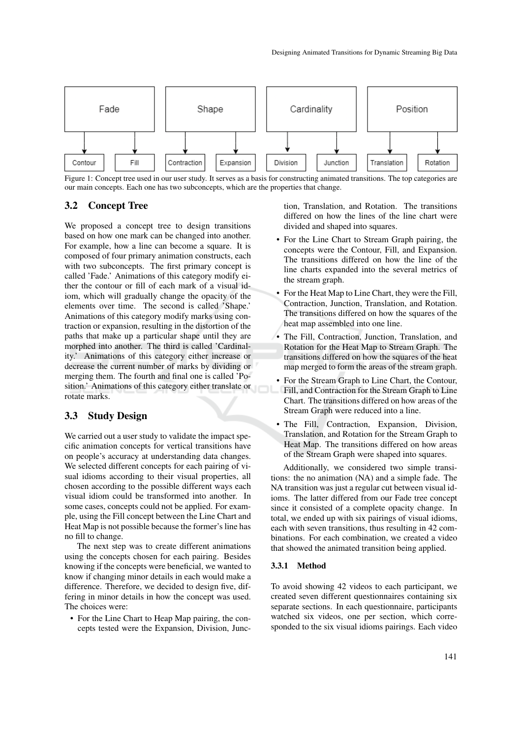

Figure 1: Concept tree used in our user study. It serves as a basis for constructing animated transitions. The top categories are our main concepts. Each one has two subconcepts, which are the properties that change.

### 3.2 Concept Tree

We proposed a concept tree to design transitions based on how one mark can be changed into another. For example, how a line can become a square. It is composed of four primary animation constructs, each with two subconcepts. The first primary concept is called 'Fade.' Animations of this category modify either the contour or fill of each mark of a visual idiom, which will gradually change the opacity of the elements over time. The second is called 'Shape.' Animations of this category modify marks using contraction or expansion, resulting in the distortion of the paths that make up a particular shape until they are morphed into another. The third is called 'Cardinality.' Animations of this category either increase or decrease the current number of marks by dividing or merging them. The fourth and final one is called 'Position.' Animations of this category either translate or rotate marks.

# 3.3 Study Design

We carried out a user study to validate the impact specific animation concepts for vertical transitions have on people's accuracy at understanding data changes. We selected different concepts for each pairing of visual idioms according to their visual properties, all chosen according to the possible different ways each visual idiom could be transformed into another. In some cases, concepts could not be applied. For example, using the Fill concept between the Line Chart and Heat Map is not possible because the former's line has no fill to change.

The next step was to create different animations using the concepts chosen for each pairing. Besides knowing if the concepts were beneficial, we wanted to know if changing minor details in each would make a difference. Therefore, we decided to design five, differing in minor details in how the concept was used. The choices were:

• For the Line Chart to Heap Map pairing, the concepts tested were the Expansion, Division, Junction, Translation, and Rotation. The transitions differed on how the lines of the line chart were divided and shaped into squares.

- For the Line Chart to Stream Graph pairing, the concepts were the Contour, Fill, and Expansion. The transitions differed on how the line of the line charts expanded into the several metrics of the stream graph.
- For the Heat Map to Line Chart, they were the Fill, Contraction, Junction, Translation, and Rotation. The transitions differed on how the squares of the heat map assembled into one line.
- The Fill, Contraction, Junction, Translation, and Rotation for the Heat Map to Stream Graph. The transitions differed on how the squares of the heat map merged to form the areas of the stream graph.
- For the Stream Graph to Line Chart, the Contour, Fill, and Contraction for the Stream Graph to Line Chart. The transitions differed on how areas of the Stream Graph were reduced into a line.
- The Fill, Contraction, Expansion, Division, Translation, and Rotation for the Stream Graph to Heat Map. The transitions differed on how areas of the Stream Graph were shaped into squares.

Additionally, we considered two simple transitions: the no animation (NA) and a simple fade. The NA transition was just a regular cut between visual idioms. The latter differed from our Fade tree concept since it consisted of a complete opacity change. In total, we ended up with six pairings of visual idioms, each with seven transitions, thus resulting in 42 combinations. For each combination, we created a video that showed the animated transition being applied.

#### 3.3.1 Method

To avoid showing 42 videos to each participant, we created seven different questionnaires containing six separate sections. In each questionnaire, participants watched six videos, one per section, which corresponded to the six visual idioms pairings. Each video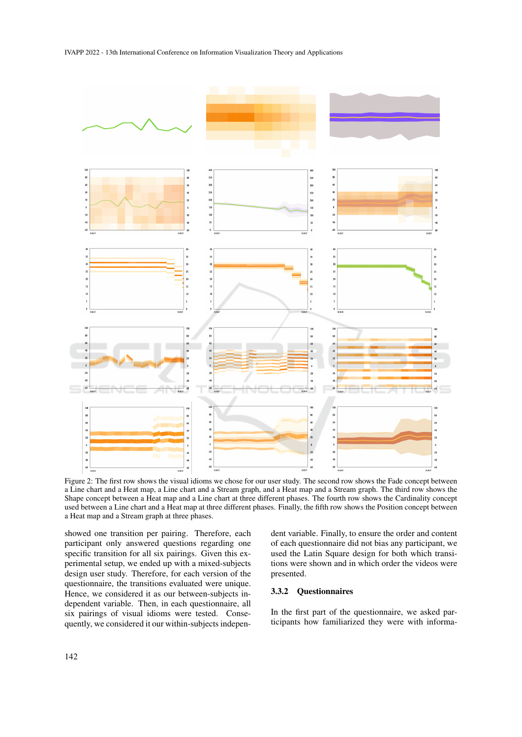

Figure 2: The first row shows the visual idioms we chose for our user study. The second row shows the Fade concept between a Line chart and a Heat map, a Line chart and a Stream graph, and a Heat map and a Stream graph. The third row shows the Shape concept between a Heat map and a Line chart at three different phases. The fourth row shows the Cardinality concept used between a Line chart and a Heat map at three different phases. Finally, the fifth row shows the Position concept between a Heat map and a Stream graph at three phases.

showed one transition per pairing. Therefore, each participant only answered questions regarding one specific transition for all six pairings. Given this experimental setup, we ended up with a mixed-subjects design user study. Therefore, for each version of the questionnaire, the transitions evaluated were unique. Hence, we considered it as our between-subjects independent variable. Then, in each questionnaire, all six pairings of visual idioms were tested. Consequently, we considered it our within-subjects independent variable. Finally, to ensure the order and content of each questionnaire did not bias any participant, we used the Latin Square design for both which transitions were shown and in which order the videos were presented.

#### 3.3.2 Questionnaires

In the first part of the questionnaire, we asked participants how familiarized they were with informa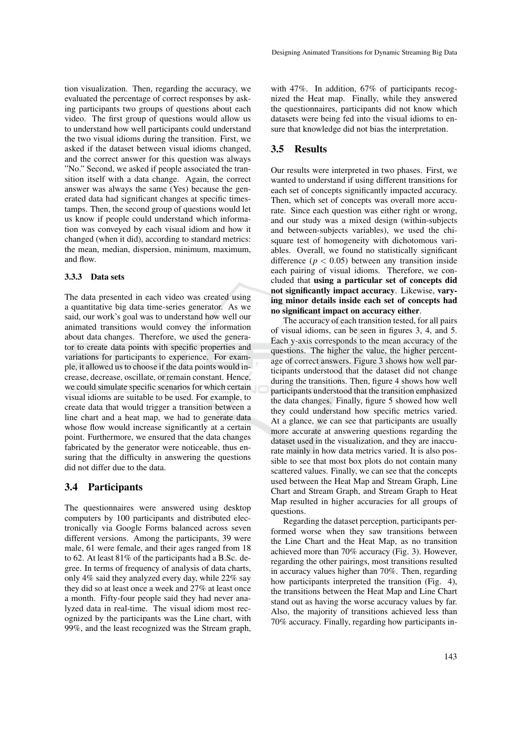tion visualization. Then, regarding the accuracy, we evaluated the percentage of correct responses by asking participants two groups of questions about each video. The first group of questions would allow us to understand how well participants could understand the two visual idioms during the transition. First, we asked if the dataset between visual idioms changed, and the correct answer for this question was always "No." Second, we asked if people associated the transition itself with a data change. Again, the correct answer was always the same (Yes) because the generated data had significant changes at specific timestamps. Then, the second group of questions would let us know if people could understand which information was conveyed by each visual idiom and how it changed (when it did), according to standard metrics: the mean, median, dispersion, minimum, maximum, and flow.

#### 3.3.3 Data sets

The data presented in each video was created using a quantitative big data time-series generator. As we said, our work's goal was to understand how well our animated transitions would convey the information about data changes. Therefore, we used the generator to create data points with specific properties and variations for participants to experience. For example, it allowed us to choose if the data points would increase, decrease, oscillate, or remain constant. Hence, we could simulate specific scenarios for which certain visual idioms are suitable to be used. For example, to create data that would trigger a transition between a line chart and a heat map, we had to generate data whose flow would increase significantly at a certain point. Furthermore, we ensured that the data changes fabricated by the generator were noticeable, thus ensuring that the difficulty in answering the questions did not differ due to the data.

### 3.4 Participants

The questionnaires were answered using desktop computers by 100 participants and distributed electronically via Google Forms balanced across seven different versions. Among the participants, 39 were male, 61 were female, and their ages ranged from 18 to 62. At least 81% of the participants had a B.Sc. degree. In terms of frequency of analysis of data charts, only 4% said they analyzed every day, while 22% say they did so at least once a week and 27% at least once a month. Fifty-four people said they had never analyzed data in real-time. The visual idiom most recognized by the participants was the Line chart, with 99%, and the least recognized was the Stream graph,

with 47%. In addition, 67% of participants recognized the Heat map. Finally, while they answered the questionnaires, participants did not know which datasets were being fed into the visual idioms to ensure that knowledge did not bias the interpretation.

### 3.5 Results

Our results were interpreted in two phases. First, we wanted to understand if using different transitions for each set of concepts significantly impacted accuracy. Then, which set of concepts was overall more accurate. Since each question was either right or wrong, and our study was a mixed design (within-subjects and between-subjects variables), we used the chisquare test of homogeneity with dichotomous variables. Overall, we found no statistically significant difference ( $p < 0.05$ ) between any transition inside each pairing of visual idioms. Therefore, we concluded that using a particular set of concepts did not significantly impact accuracy. Likewise, varying minor details inside each set of concepts had no significant impact on accuracy either.

The accuracy of each transition tested, for all pairs of visual idioms, can be seen in figures 3, 4, and 5. Each y-axis corresponds to the mean accuracy of the questions. The higher the value, the higher percentage of correct answers. Figure 3 shows how well participants understood that the dataset did not change during the transitions. Then, figure 4 shows how well participants understood that the transition emphasized the data changes. Finally, figure 5 showed how well they could understand how specific metrics varied. At a glance, we can see that participants are usually more accurate at answering questions regarding the dataset used in the visualization, and they are inaccurate mainly in how data metrics varied. It is also possible to see that most box plots do not contain many scattered values. Finally, we can see that the concepts used between the Heat Map and Stream Graph, Line Chart and Stream Graph, and Stream Graph to Heat Map resulted in higher accuracies for all groups of questions.

Regarding the dataset perception, participants performed worse when they saw transitions between the Line Chart and the Heat Map, as no transition achieved more than 70% accuracy (Fig. 3). However, regarding the other pairings, most transitions resulted in accuracy values higher than 70%. Then, regarding how participants interpreted the transition (Fig. 4), the transitions between the Heat Map and Line Chart stand out as having the worse accuracy values by far. Also, the majority of transitions achieved less than 70% accuracy. Finally, regarding how participants in-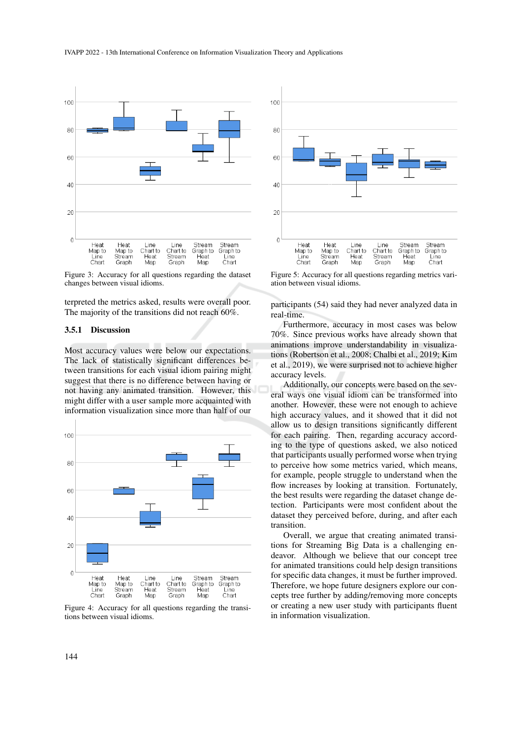

Figure 3: Accuracy for all questions regarding the dataset changes between visual idioms.

terpreted the metrics asked, results were overall poor. The majority of the transitions did not reach 60%.

#### 3.5.1 Discussion

Most accuracy values were below our expectations. The lack of statistically significant differences between transitions for each visual idiom pairing might suggest that there is no difference between having or not having any animated transition. However, this might differ with a user sample more acquainted with information visualization since more than half of our



Figure 4: Accuracy for all questions regarding the transitions between visual idioms.



Figure 5: Accuracy for all questions regarding metrics variation between visual idioms.

participants (54) said they had never analyzed data in real-time.

Furthermore, accuracy in most cases was below 70%. Since previous works have already shown that animations improve understandability in visualizations (Robertson et al., 2008; Chalbi et al., 2019; Kim et al., 2019), we were surprised not to achieve higher accuracy levels.

Additionally, our concepts were based on the several ways one visual idiom can be transformed into another. However, these were not enough to achieve high accuracy values, and it showed that it did not allow us to design transitions significantly different for each pairing. Then, regarding accuracy according to the type of questions asked, we also noticed that participants usually performed worse when trying to perceive how some metrics varied, which means, for example, people struggle to understand when the flow increases by looking at transition. Fortunately, the best results were regarding the dataset change detection. Participants were most confident about the dataset they perceived before, during, and after each transition.

Overall, we argue that creating animated transitions for Streaming Big Data is a challenging endeavor. Although we believe that our concept tree for animated transitions could help design transitions for specific data changes, it must be further improved. Therefore, we hope future designers explore our concepts tree further by adding/removing more concepts or creating a new user study with participants fluent in information visualization.